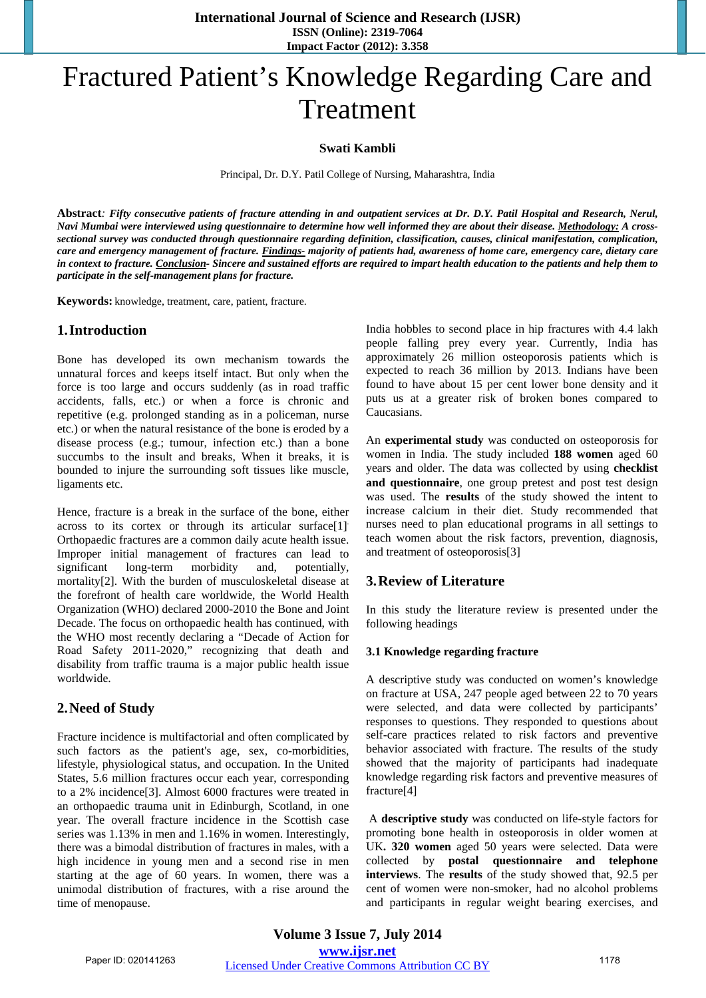**International Journal of Science and Research (IJSR) ISSN (Online): 2319-7064 Impact Factor (2012): 3.358** 

# Fractured Patient's Knowledge Regarding Care and Treatment

#### **Swati Kambli**

Principal, Dr. D.Y. Patil College of Nursing, Maharashtra, India

**Abstract***: Fifty consecutive patients of fracture attending in and outpatient services at Dr. D.Y. Patil Hospital and Research, Nerul, Navi Mumbai were interviewed using questionnaire to determine how well informed they are about their disease. Methodology: A crosssectional survey was conducted through questionnaire regarding definition, classification, causes, clinical manifestation, complication, care and emergency management of fracture. Findings- majority of patients had, awareness of home care, emergency care, dietary care in context to fracture. Conclusion- Sincere and sustained efforts are required to impart health education to the patients and help them to participate in the self-management plans for fracture.*

**Keywords:** knowledge, treatment, care, patient, fracture.

### **1.Introduction**

Bone has developed its own mechanism towards the unnatural forces and keeps itself intact. But only when the force is too large and occurs suddenly (as in road traffic accidents, falls, etc.) or when a force is chronic and repetitive (e.g. prolonged standing as in a policeman, nurse etc.) or when the natural resistance of the bone is eroded by a disease process (e.g.; tumour, infection etc.) than a bone succumbs to the insult and breaks, When it breaks, it is bounded to injure the surrounding soft tissues like muscle, ligaments etc.

Hence, fracture is a break in the surface of the bone, either across to its cortex or through its articular surface[1]. Orthopaedic fractures are a common daily acute health issue. Improper initial management of fractures can lead to significant long-term morbidity and, potentially, mortality[2]. With the burden of musculoskeletal disease at the forefront of health care worldwide, the World Health Organization (WHO) declared 2000-2010 the Bone and Joint Decade. The focus on orthopaedic health has continued, with the WHO most recently declaring a "Decade of Action for Road Safety 2011-2020," recognizing that death and disability from traffic trauma is a major public health issue worldwide.

## **2.Need of Study**

Fracture incidence is multifactorial and often complicated by such factors as the patient's age, sex, co-morbidities, lifestyle, physiological status, and occupation. In the United States, 5.6 million fractures occur each year, corresponding to a 2% incidence[3]. Almost 6000 fractures were treated in an orthopaedic trauma unit in Edinburgh, Scotland, in one year. The overall fracture incidence in the Scottish case series was 1.13% in men and 1.16% in women. Interestingly, there was a bimodal distribution of fractures in males, with a high incidence in young men and a second rise in men starting at the age of 60 years. In women, there was a unimodal distribution of fractures, with a rise around the time of menopause.

India hobbles to second place in hip fractures with 4.4 lakh people falling prey every year. Currently, India has approximately 26 million osteoporosis patients which is expected to reach 36 million by 2013. Indians have been found to have about 15 per cent lower bone density and it puts us at a greater risk of broken bones compared to Caucasians.

An **experimental study** was conducted on osteoporosis for women in India. The study included **188 women** aged 60 years and older. The data was collected by using **checklist and questionnaire**, one group pretest and post test design was used. The **results** of the study showed the intent to increase calcium in their diet. Study recommended that nurses need to plan educational programs in all settings to teach women about the risk factors, prevention, diagnosis, and treatment of osteoporosis[3]

## **3.Review of Literature**

In this study the literature review is presented under the following headings

#### **3.1 Knowledge regarding fracture**

A descriptive study was conducted on women's knowledge on fracture at USA, 247 people aged between 22 to 70 years were selected, and data were collected by participants' responses to questions. They responded to questions about self-care practices related to risk factors and preventive behavior associated with fracture. The results of the study showed that the majority of participants had inadequate knowledge regarding risk factors and preventive measures of fracture[4]

 A **descriptive study** was conducted on life-style factors for promoting bone health in osteoporosis in older women at UK**. 320 women** aged 50 years were selected. Data were collected by **postal questionnaire and telephone interviews**. The **results** of the study showed that, 92.5 per cent of women were non-smoker, had no alcohol problems and participants in regular weight bearing exercises, and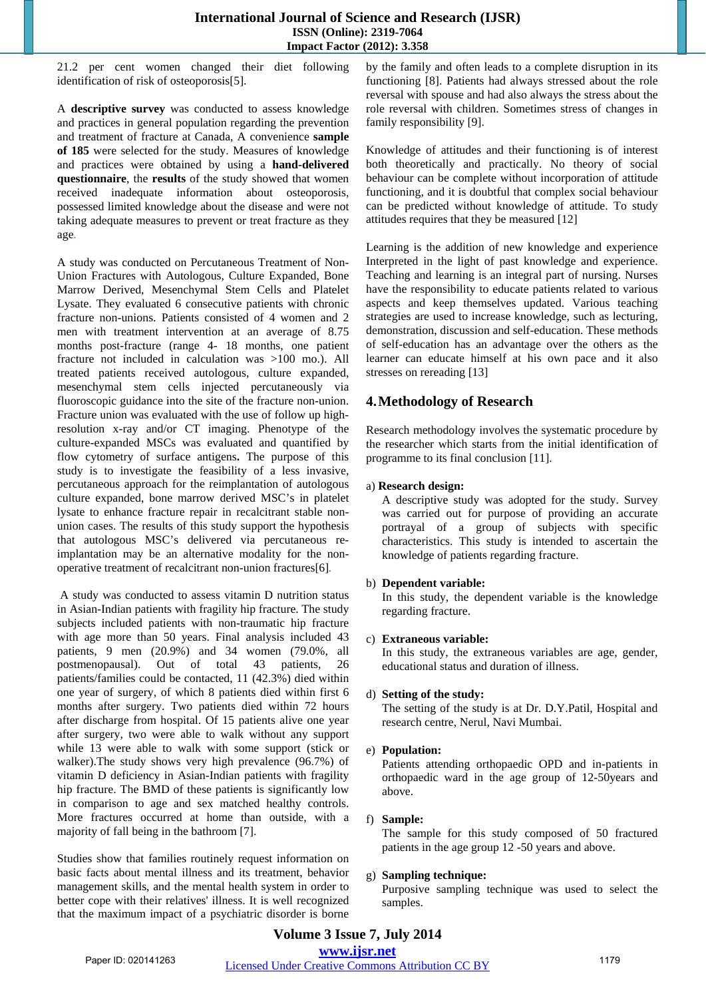21.2 per cent women changed their diet following identification of risk of osteoporosis[5].

A **descriptive survey** was conducted to assess knowledge and practices in general population regarding the prevention and treatment of fracture at Canada, A convenience **sample of 185** were selected for the study. Measures of knowledge and practices were obtained by using a **hand-delivered questionnaire**, the **results** of the study showed that women received inadequate information about osteoporosis, possessed limited knowledge about the disease and were not taking adequate measures to prevent or treat fracture as they age*.* 

A study was conducted on Percutaneous Treatment of Non-Union Fractures with Autologous, Culture Expanded, Bone Marrow Derived, Mesenchymal Stem Cells and Platelet Lysate. They evaluated 6 consecutive patients with chronic fracture non-unions. Patients consisted of 4 women and 2 men with treatment intervention at an average of 8.75 months post-fracture (range 4- 18 months, one patient fracture not included in calculation was >100 mo.). All treated patients received autologous, culture expanded, mesenchymal stem cells injected percutaneously via fluoroscopic guidance into the site of the fracture non-union. Fracture union was evaluated with the use of follow up highresolution x-ray and/or CT imaging. Phenotype of the culture-expanded MSCs was evaluated and quantified by flow cytometry of surface antigens**.** The purpose of this study is to investigate the feasibility of a less invasive, percutaneous approach for the reimplantation of autologous culture expanded, bone marrow derived MSC's in platelet lysate to enhance fracture repair in recalcitrant stable nonunion cases. The results of this study support the hypothesis that autologous MSC's delivered via percutaneous reimplantation may be an alternative modality for the nonoperative treatment of recalcitrant non-union fractures[6]*.*

 A study was conducted to assess vitamin D nutrition status in Asian-Indian patients with fragility hip fracture. The study subjects included patients with non-traumatic hip fracture with age more than 50 years. Final analysis included 43 patients, 9 men (20.9%) and 34 women (79.0%, all postmenopausal). Out of total 43 patients, 26 patients/families could be contacted, 11 (42.3%) died within one year of surgery, of which 8 patients died within first 6 months after surgery. Two patients died within 72 hours after discharge from hospital. Of 15 patients alive one year after surgery, two were able to walk without any support while 13 were able to walk with some support (stick or walker).The study shows very high prevalence (96.7%) of vitamin D deficiency in Asian-Indian patients with fragility hip fracture. The BMD of these patients is significantly low in comparison to age and sex matched healthy controls. More fractures occurred at home than outside, with a majority of fall being in the bathroom [7].

Studies show that families routinely request information on basic facts about mental illness and its treatment, behavior management skills, and the mental health system in order to better cope with their relatives' illness. It is well recognized that the maximum impact of a psychiatric disorder is borne by the family and often leads to a complete disruption in its functioning [8]. Patients had always stressed about the role reversal with spouse and had also always the stress about the role reversal with children. Sometimes stress of changes in family responsibility [9].

Knowledge of attitudes and their functioning is of interest both theoretically and practically. No theory of social behaviour can be complete without incorporation of attitude functioning, and it is doubtful that complex social behaviour can be predicted without knowledge of attitude. To study attitudes requires that they be measured [12]

Learning is the addition of new knowledge and experience Interpreted in the light of past knowledge and experience. Teaching and learning is an integral part of nursing. Nurses have the responsibility to educate patients related to various aspects and keep themselves updated. Various teaching strategies are used to increase knowledge, such as lecturing, demonstration, discussion and self-education. These methods of self-education has an advantage over the others as the learner can educate himself at his own pace and it also stresses on rereading [13]

# **4.Methodology of Research**

Research methodology involves the systematic procedure by the researcher which starts from the initial identification of programme to its final conclusion [11].

## a) **Research design:**

A descriptive study was adopted for the study. Survey was carried out for purpose of providing an accurate portrayal of a group of subjects with specific characteristics. This study is intended to ascertain the knowledge of patients regarding fracture.

## b) **Dependent variable:**

In this study, the dependent variable is the knowledge regarding fracture.

## c) **Extraneous variable:**

In this study, the extraneous variables are age, gender, educational status and duration of illness.

## d) **Setting of the study:**

The setting of the study is at Dr. D.Y.Patil, Hospital and research centre, Nerul, Navi Mumbai.

## e) **Population:**

Patients attending orthopaedic OPD and in-patients in orthopaedic ward in the age group of 12-50years and above.

## f) **Sample:**

The sample for this study composed of 50 fractured patients in the age group 12 -50 years and above.

## g) **Sampling technique:**

Purposive sampling technique was used to select the samples.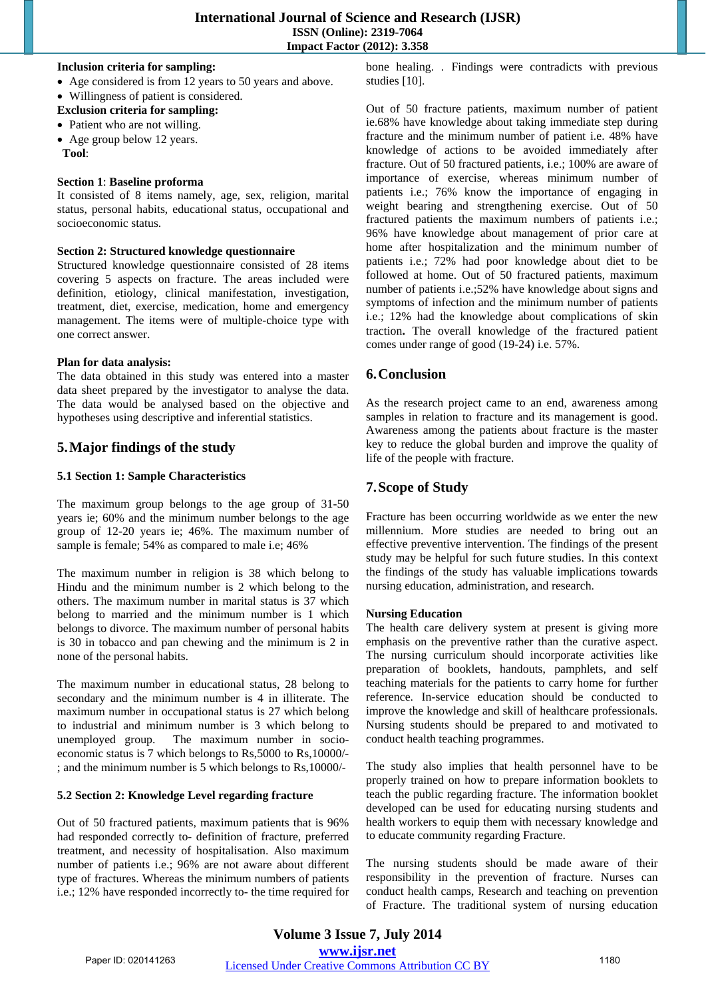#### **Inclusion criteria for sampling:**

- Age considered is from 12 years to 50 years and above.
- Willingness of patient is considered.
- **Exclusion criteria for sampling:**
- Patient who are not willing.
- Age group below 12 years.
- **Tool**:

#### **Section 1**: **Baseline proforma**

It consisted of 8 items namely, age, sex, religion, marital status, personal habits, educational status, occupational and socioeconomic status.

#### **Section 2: Structured knowledge questionnaire**

Structured knowledge questionnaire consisted of 28 items covering 5 aspects on fracture. The areas included were definition, etiology, clinical manifestation, investigation, treatment, diet, exercise, medication, home and emergency management. The items were of multiple-choice type with one correct answer.

#### **Plan for data analysis:**

The data obtained in this study was entered into a master data sheet prepared by the investigator to analyse the data. The data would be analysed based on the objective and hypotheses using descriptive and inferential statistics.

## **5.Major findings of the study**

#### **5.1 Section 1: Sample Characteristics**

The maximum group belongs to the age group of 31-50 years ie; 60% and the minimum number belongs to the age group of 12-20 years ie; 46%. The maximum number of sample is female; 54% as compared to male i.e; 46%

The maximum number in religion is 38 which belong to Hindu and the minimum number is 2 which belong to the others. The maximum number in marital status is 37 which belong to married and the minimum number is 1 which belongs to divorce. The maximum number of personal habits is 30 in tobacco and pan chewing and the minimum is 2 in none of the personal habits.

The maximum number in educational status, 28 belong to secondary and the minimum number is 4 in illiterate. The maximum number in occupational status is 27 which belong to industrial and minimum number is 3 which belong to unemployed group. The maximum number in socioeconomic status is 7 which belongs to Rs,5000 to Rs,10000/- ; and the minimum number is 5 which belongs to Rs,10000/-

#### **5.2 Section 2: Knowledge Level regarding fracture**

Out of 50 fractured patients, maximum patients that is 96% had responded correctly to- definition of fracture, preferred treatment, and necessity of hospitalisation. Also maximum number of patients i.e.; 96% are not aware about different type of fractures. Whereas the minimum numbers of patients i.e.; 12% have responded incorrectly to- the time required for bone healing. . Findings were contradicts with previous studies [10].

Out of 50 fracture patients, maximum number of patient ie.68% have knowledge about taking immediate step during fracture and the minimum number of patient i.e. 48% have knowledge of actions to be avoided immediately after fracture. Out of 50 fractured patients, i.e.; 100% are aware of importance of exercise, whereas minimum number of patients i.e.; 76% know the importance of engaging in weight bearing and strengthening exercise. Out of 50 fractured patients the maximum numbers of patients i.e.; 96% have knowledge about management of prior care at home after hospitalization and the minimum number of patients i.e.; 72% had poor knowledge about diet to be followed at home. Out of 50 fractured patients, maximum number of patients i.e.;52% have knowledge about signs and symptoms of infection and the minimum number of patients i.e.; 12% had the knowledge about complications of skin traction**.** The overall knowledge of the fractured patient comes under range of good (19-24) i.e. 57%.

## **6.Conclusion**

As the research project came to an end, awareness among samples in relation to fracture and its management is good. Awareness among the patients about fracture is the master key to reduce the global burden and improve the quality of life of the people with fracture.

# **7.Scope of Study**

Fracture has been occurring worldwide as we enter the new millennium. More studies are needed to bring out an effective preventive intervention. The findings of the present study may be helpful for such future studies. In this context the findings of the study has valuable implications towards nursing education, administration, and research.

#### **Nursing Education**

The health care delivery system at present is giving more emphasis on the preventive rather than the curative aspect. The nursing curriculum should incorporate activities like preparation of booklets, handouts, pamphlets, and self teaching materials for the patients to carry home for further reference. In-service education should be conducted to improve the knowledge and skill of healthcare professionals. Nursing students should be prepared to and motivated to conduct health teaching programmes.

The study also implies that health personnel have to be properly trained on how to prepare information booklets to teach the public regarding fracture. The information booklet developed can be used for educating nursing students and health workers to equip them with necessary knowledge and to educate community regarding Fracture.

The nursing students should be made aware of their responsibility in the prevention of fracture. Nurses can conduct health camps, Research and teaching on prevention of Fracture. The traditional system of nursing education